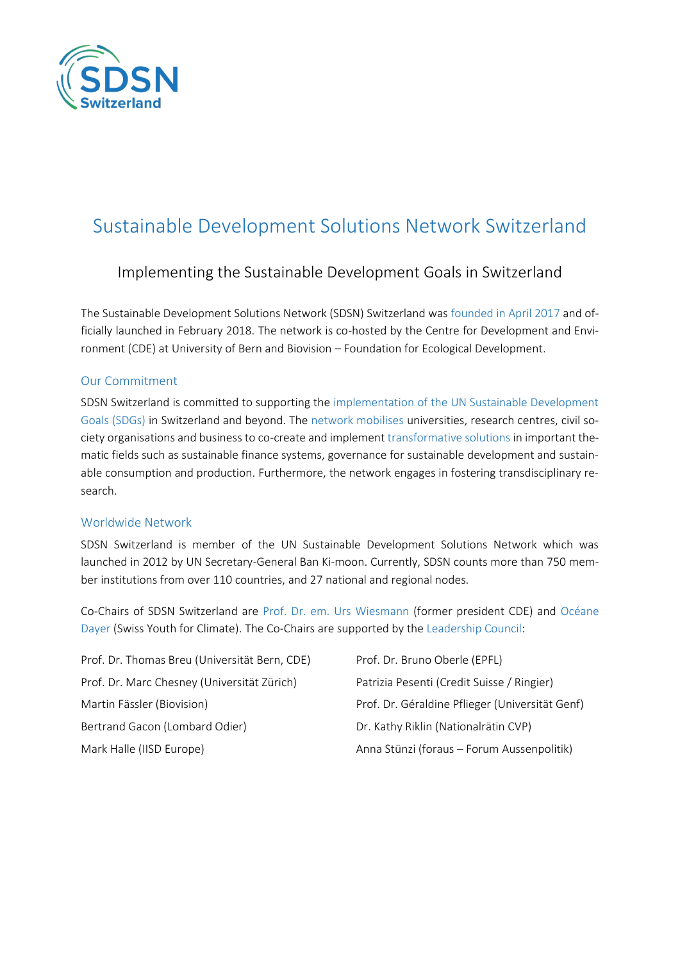

# Sustainable Development Solutions Network Switzerland

# Implementing the Sustainable Development Goals in Switzerland

The Sustainable Development Solutions Network (SDSN) Switzerland was founded in April 2017 and officially launched in February 2018. The network is co-hosted by the Centre for Development and Environment (CDE) at University of Bern and Biovision – Foundation for Ecological Development.

### Our Commitment

SDSN Switzerland is committed to supporting the implementation of the UN Sustainable Development Goals (SDGs) in Switzerland and beyond. The network mobilises universities, research centres, civil society organisations and business to co-create and implement transformative solutions in important thematic fields such as sustainable finance systems, governance for sustainable development and sustainable consumption and production. Furthermore, the network engages in fostering transdisciplinary research.

## Worldwide Network

SDSN Switzerland is member of the UN Sustainable Development Solutions Network which was launched in 2012 by UN Secretary-General Ban Ki-moon. Currently, SDSN counts more than 750 member institutions from over 110 countries, and 27 national and regional nodes.

Co-Chairs of SDSN Switzerland are Prof. Dr. em. Urs Wiesmann (former president CDE) and Océane Dayer (Swiss Youth for Climate). The Co-Chairs are supported by the Leadership Council:

| Prof. Dr. Thomas Breu (Universität Bern, CDE) | Prof. Dr. Bruno Oberle (EPFL)                   |
|-----------------------------------------------|-------------------------------------------------|
| Prof. Dr. Marc Chesney (Universität Zürich)   | Patrizia Pesenti (Credit Suisse / Ringier)      |
| Martin Fässler (Biovision)                    | Prof. Dr. Géraldine Pflieger (Universität Genf) |
| Bertrand Gacon (Lombard Odier)                | Dr. Kathy Riklin (Nationalrätin CVP)            |
| Mark Halle (IISD Europe)                      | Anna Stünzi (foraus - Forum Aussenpolitik)      |